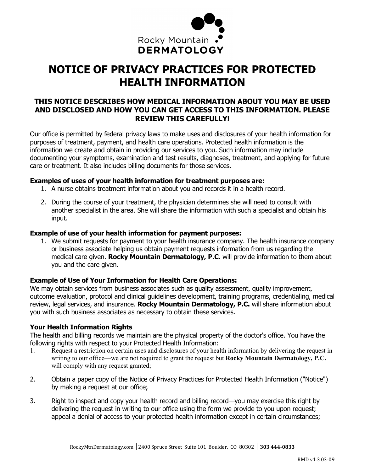

# **NOTICE OF PRIVACY PRACTICES FOR PROTECTED HEALTH INFORMATION**

## **THIS NOTICE DESCRIBES HOW MEDICAL INFORMATION ABOUT YOU MAY BE USED AND DISCLOSED AND HOW YOU CAN GET ACCESS TO THIS INFORMATION. PLEASE REVIEW THIS CAREFULLY!**

Our office is permitted by federal privacy laws to make uses and disclosures of your health information for purposes of treatment, payment, and health care operations. Protected health information is the information we create and obtain in providing our services to you. Such information may include documenting your symptoms, examination and test results, diagnoses, treatment, and applying for future care or treatment. It also includes billing documents for those services.

### **Examples of uses of your health information for treatment purposes are:**

- 1. A nurse obtains treatment information about you and records it in a health record.
- 2. During the course of your treatment, the physician determines she will need to consult with another specialist in the area. She will share the information with such a specialist and obtain his input.

#### **Example of use of your health information for payment purposes:**

1. We submit requests for payment to your health insurance company. The health insurance company or business associate helping us obtain payment requests information from us regarding the medical care given. **Rocky Mountain Dermatology, P.C.** will provide information to them about you and the care given.

## **Example of Use of Your Information for Health Care Operations:**

We may obtain services from business associates such as quality assessment, quality improvement, outcome evaluation, protocol and clinical guidelines development, training programs, credentialing, medical review, legal services, and insurance. **Rocky Mountain Dermatology, P.C.** will share information about you with such business associates as necessary to obtain these services.

### **Your Health Information Rights**

The health and billing records we maintain are the physical property of the doctor's office. You have the following rights with respect to your Protected Health Information:

- 1. Request a restriction on certain uses and disclosures of your health information by delivering the request in writing to our office—we are not required to grant the request but **Rocky Mountain Dermatology, P.C.** will comply with any request granted;
- 2. Obtain a paper copy of the Notice of Privacy Practices for Protected Health Information ("Notice") by making a request at our office;
- 3. Right to inspect and copy your health record and billing record—you may exercise this right by delivering the request in writing to our office using the form we provide to you upon request; appeal a denial of access to your protected health information except in certain circumstances;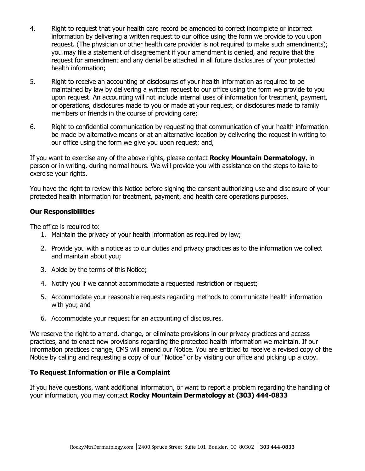- 4. Right to request that your health care record be amended to correct incomplete or incorrect information by delivering a written request to our office using the form we provide to you upon request. (The physician or other health care provider is not required to make such amendments); you may file a statement of disagreement if your amendment is denied, and require that the request for amendment and any denial be attached in all future disclosures of your protected health information;
- 5. Right to receive an accounting of disclosures of your health information as required to be maintained by law by delivering a written request to our office using the form we provide to you upon request. An accounting will not include internal uses of information for treatment, payment, or operations, disclosures made to you or made at your request, or disclosures made to family members or friends in the course of providing care;
- 6. Right to confidential communication by requesting that communication of your health information be made by alternative means or at an alternative location by delivering the request in writing to our office using the form we give you upon request; and,

If you want to exercise any of the above rights, please contact **Rocky Mountain Dermatology**, in person or in writing, during normal hours. We will provide you with assistance on the steps to take to exercise your rights.

You have the right to review this Notice before signing the consent authorizing use and disclosure of your protected health information for treatment, payment, and health care operations purposes.

### **Our Responsibilities**

The office is required to:

- 1. Maintain the privacy of your health information as required by law;
- 2. Provide you with a notice as to our duties and privacy practices as to the information we collect and maintain about you;
- 3. Abide by the terms of this Notice;
- 4. Notify you if we cannot accommodate a requested restriction or request;
- 5. Accommodate your reasonable requests regarding methods to communicate health information with you; and
- 6. Accommodate your request for an accounting of disclosures.

We reserve the right to amend, change, or eliminate provisions in our privacy practices and access practices, and to enact new provisions regarding the protected health information we maintain. If our information practices change, CMS will amend our Notice. You are entitled to receive a revised copy of the Notice by calling and requesting a copy of our "Notice" or by visiting our office and picking up a copy.

## **To Request Information or File a Complaint**

If you have questions, want additional information, or want to report a problem regarding the handling of your information, you may contact **Rocky Mountain Dermatology at (303) 444-0833**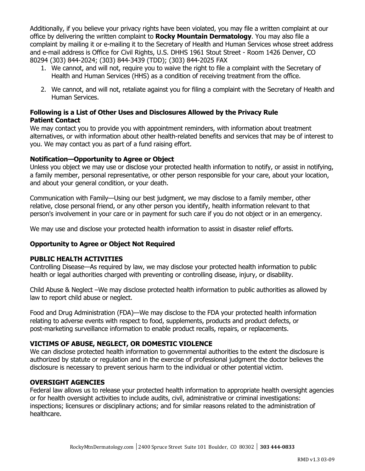Additionally, if you believe your privacy rights have been violated, you may file a written complaint at our office by delivering the written complaint to **Rocky Mountain Dermatology**. You may also file a complaint by mailing it or e-mailing it to the Secretary of Health and Human Services whose street address and e-mail address is Office for Civil Rights, U.S. DHHS 1961 Stout Street - Room 1426 Denver, CO 80294 (303) 844-2024; (303) 844-3439 (TDD); (303) 844-2025 FAX

- 1. We cannot, and will not, require you to waive the right to file a complaint with the Secretary of Health and Human Services (HHS) as a condition of receiving treatment from the office.
- 2. We cannot, and will not, retaliate against you for filing a complaint with the Secretary of Health and Human Services.

#### **Following is a List of Other Uses and Disclosures Allowed by the Privacy Rule Patient Contact**

We may contact you to provide you with appointment reminders, with information about treatment alternatives, or with information about other health-related benefits and services that may be of interest to you. We may contact you as part of a fund raising effort.

### **Notification—Opportunity to Agree or Object**

Unless you object we may use or disclose your protected health information to notify, or assist in notifying, a family member, personal representative, or other person responsible for your care, about your location, and about your general condition, or your death.

Communication with Family—Using our best judgment, we may disclose to a family member, other relative, close personal friend, or any other person you identify, health information relevant to that person's involvement in your care or in payment for such care if you do not object or in an emergency.

We may use and disclose your protected health information to assist in disaster relief efforts.

#### **Opportunity to Agree or Object Not Required**

#### **PUBLIC HEALTH ACTIVITIES**

Controlling Disease—As required by law, we may disclose your protected health information to public health or legal authorities charged with preventing or controlling disease, injury, or disability.

Child Abuse & Neglect –We may disclose protected health information to public authorities as allowed by law to report child abuse or neglect.

Food and Drug Administration (FDA)—We may disclose to the FDA your protected health information relating to adverse events with respect to food, supplements, products and product defects, or post-marketing surveillance information to enable product recalls, repairs, or replacements.

#### **VICTIMS OF ABUSE, NEGLECT, OR DOMESTIC VIOLENCE**

We can disclose protected health information to governmental authorities to the extent the disclosure is authorized by statute or regulation and in the exercise of professional judgment the doctor believes the disclosure is necessary to prevent serious harm to the individual or other potential victim.

#### **OVERSIGHT AGENCIES**

Federal law allows us to release your protected health information to appropriate health oversight agencies or for health oversight activities to include audits, civil, administrative or criminal investigations: inspections; licensures or disciplinary actions; and for similar reasons related to the administration of healthcare.